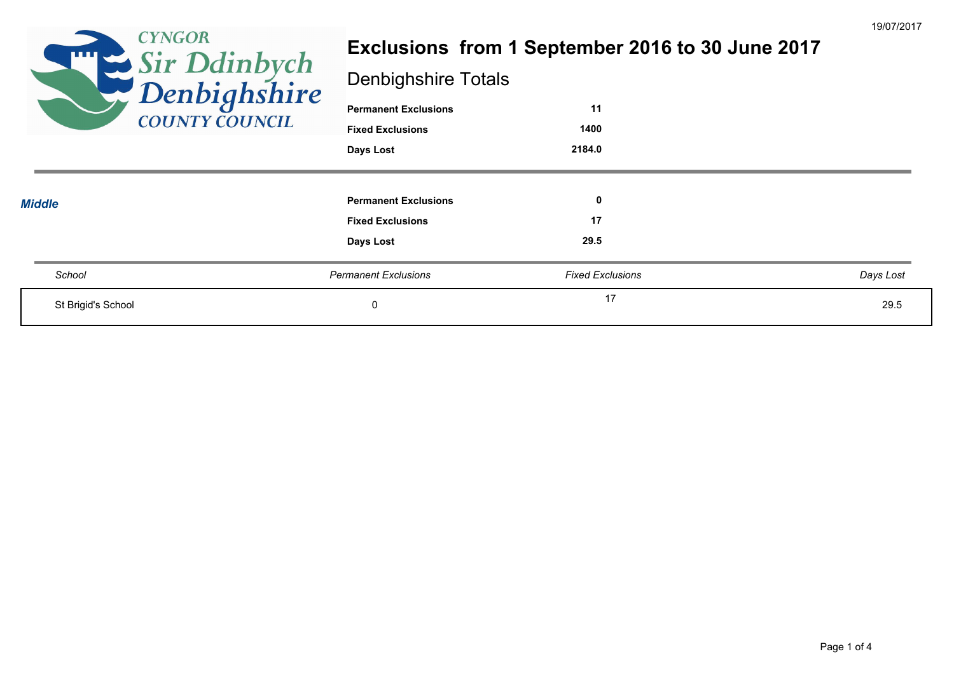| <b>CYNGOR</b><br><b>THE SE</b><br>Sir Ddinbych<br>Penbighshire<br><b>COUNTY COUNCIL</b> | <b>Denbighshire Totals</b><br><b>Permanent Exclusions</b><br><b>Fixed Exclusions</b><br>Days Lost | Exclusions from 1 September 2016 to 30 June 2017<br>11<br>1400<br>2184.0 | 19/07/201 |
|-----------------------------------------------------------------------------------------|---------------------------------------------------------------------------------------------------|--------------------------------------------------------------------------|-----------|
| <b>Middle</b>                                                                           | <b>Permanent Exclusions</b><br><b>Fixed Exclusions</b><br>Days Lost                               | 0<br>17<br>29.5                                                          |           |
| School                                                                                  | <b>Permanent Exclusions</b>                                                                       | <b>Fixed Exclusions</b>                                                  | Days Lost |
| St Brigid's School                                                                      | 0                                                                                                 | 17                                                                       | 29.5      |

19/07/2017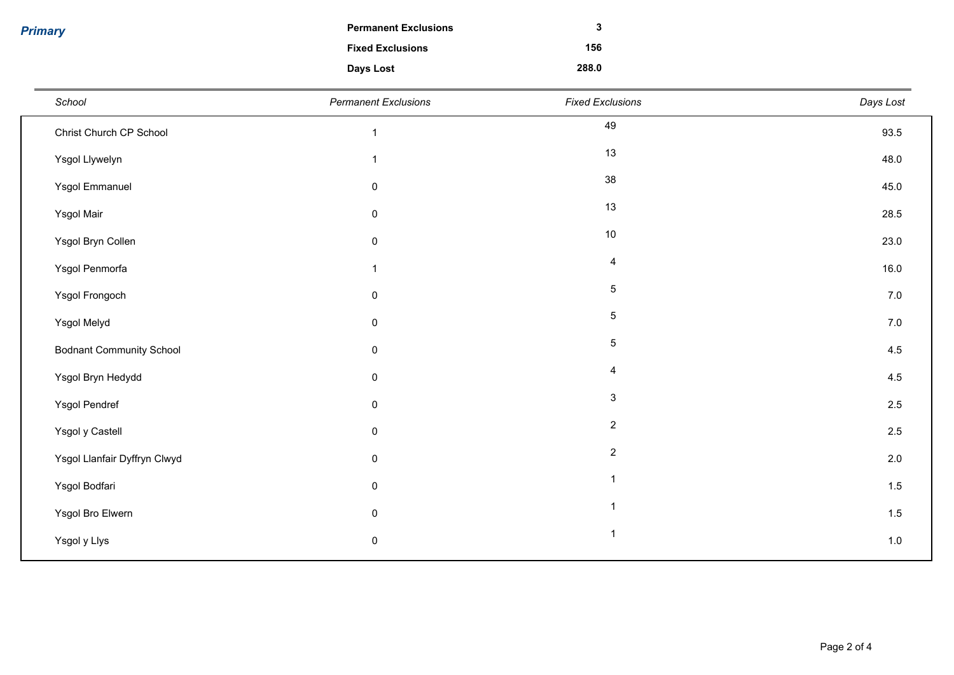*Primary*

| <b>Permanent Exclusions</b> | 3     |
|-----------------------------|-------|
| <b>Fixed Exclusions</b>     | 156   |
| Days Lost                   | 288.0 |

| School                          | <b>Permanent Exclusions</b> | <b>Fixed Exclusions</b> | Days Lost |
|---------------------------------|-----------------------------|-------------------------|-----------|
| Christ Church CP School         | $\mathbf{1}$                | 49                      | 93.5      |
| Ysgol Llywelyn                  | $\mathbf{1}$                | 13                      | 48.0      |
| Ysgol Emmanuel                  | $\pmb{0}$                   | 38                      | 45.0      |
| Ysgol Mair                      | $\pmb{0}$                   | 13                      | 28.5      |
| Ysgol Bryn Collen               | $\pmb{0}$                   | $10\,$                  | 23.0      |
| Ysgol Penmorfa                  | $\mathbf{1}$                | $\overline{4}$          | 16.0      |
| Ysgol Frongoch                  | $\pmb{0}$                   | $\sqrt{5}$              | 7.0       |
| Ysgol Melyd                     | $\pmb{0}$                   | $\,$ 5 $\,$             | $7.0\,$   |
| <b>Bodnant Community School</b> | $\pmb{0}$                   | $\sqrt{5}$              | 4.5       |
| Ysgol Bryn Hedydd               | $\pmb{0}$                   | $\overline{4}$          | 4.5       |
| Ysgol Pendref                   | $\pmb{0}$                   | $\mathbf{3}$            | 2.5       |
| Ysgol y Castell                 | $\pmb{0}$                   | $\overline{2}$          | $2.5\,$   |
| Ysgol Llanfair Dyffryn Clwyd    | $\pmb{0}$                   | $\overline{2}$          | $2.0\,$   |
| Ysgol Bodfari                   | $\pmb{0}$                   | $\overline{1}$          | 1.5       |
| Ysgol Bro Elwern                | $\pmb{0}$                   | $\overline{\mathbf{1}}$ | 1.5       |
| Ysgol y Llys                    | $\pmb{0}$                   | $\overline{1}$          | $1.0\,$   |
|                                 |                             |                         |           |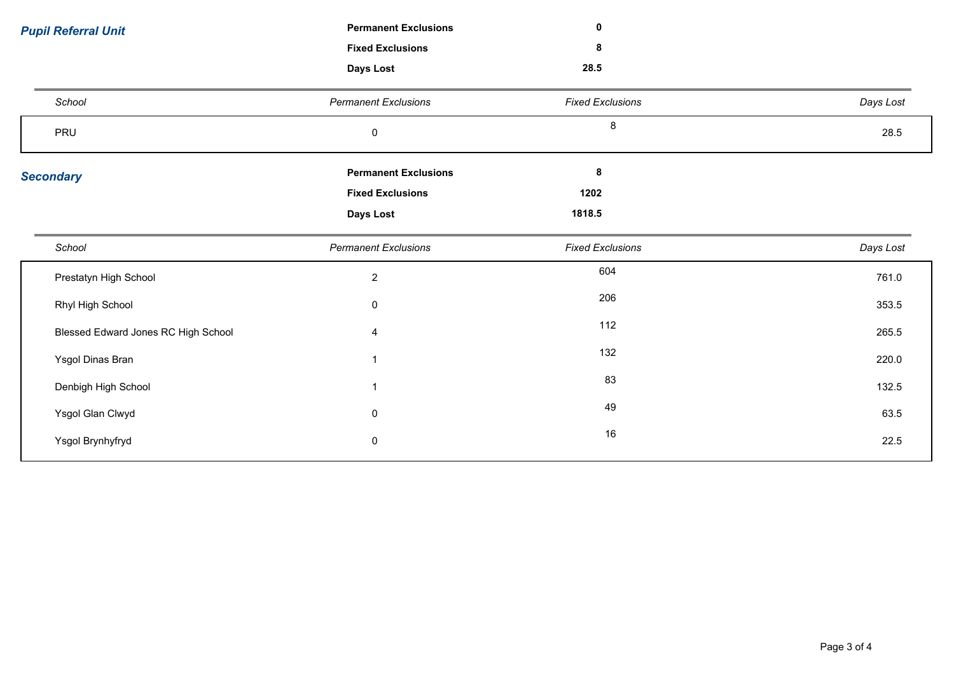| <b>Pupil Referral Unit</b>          | <b>Permanent Exclusions</b> | $\mathbf 0$             |           |
|-------------------------------------|-----------------------------|-------------------------|-----------|
|                                     | <b>Fixed Exclusions</b>     | 8                       |           |
|                                     | Days Lost                   | 28.5                    |           |
| School                              | <b>Permanent Exclusions</b> | <b>Fixed Exclusions</b> | Days Lost |
| PRU                                 | $\pmb{0}$                   | 8                       | 28.5      |
| <b>Secondary</b>                    | <b>Permanent Exclusions</b> | 8                       |           |
|                                     | <b>Fixed Exclusions</b>     | 1202                    |           |
|                                     | Days Lost                   | 1818.5                  |           |
|                                     |                             |                         |           |
| School                              | <b>Permanent Exclusions</b> | <b>Fixed Exclusions</b> | Days Lost |
| Prestatyn High School               | $\boldsymbol{2}$            | 604                     | 761.0     |
| Rhyl High School                    | $\pmb{0}$                   | 206                     | 353.5     |
| Blessed Edward Jones RC High School | 4                           | 112                     | 265.5     |
| Ysgol Dinas Bran                    |                             | 132                     | 220.0     |
| Denbigh High School                 |                             | 83                      | 132.5     |
| Ysgol Glan Clwyd                    | $\pmb{0}$                   | 49                      | 63.5      |